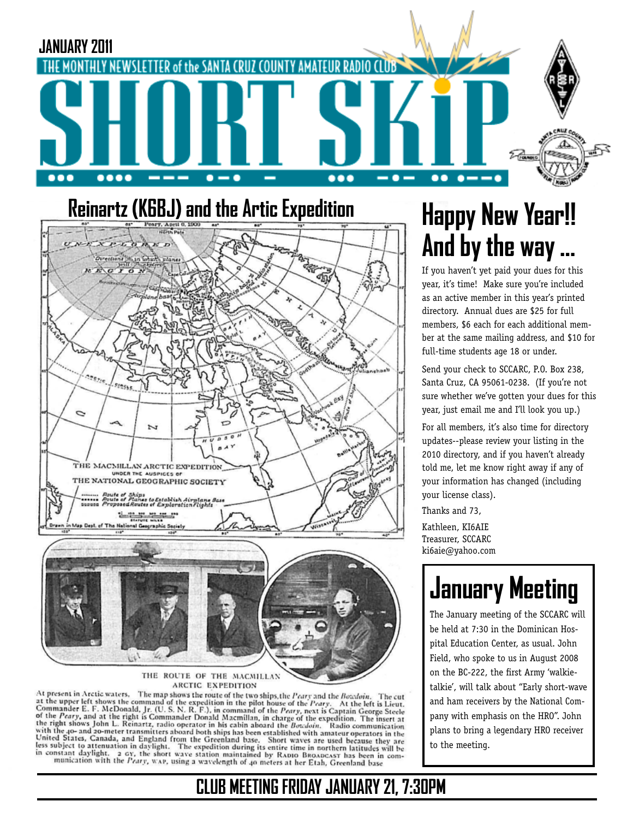

#### **Reinartz (K6BJ) and the Artic Expedition**



ARCTIC EXPEDITION

At present in Arctic waters. The map shows the route of the two ships, the Peary and the Botedoin. At present in Arctic waters. The map shows the route of the two ships, the *Peary* and the *Bocchoin*. The cut the upore left shows the command of the expedition in the pilot house of the *Peary*. At the left is Lieut. Co The cut

# **Happy New Year!! And by the way …**

If you haven't yet paid your dues for this year, it's time! Make sure you're included as an active member in this year's printed directory. Annual dues are \$25 for full members, \$6 each for each additional member at the same mailing address, and \$10 for full-time students age 18 or under.

Send your check to SCCARC, P.O. Box 238, Santa Cruz, CA 95061-0238. (If you're not sure whether we've gotten your dues for this year, just email me and I'll look you up.)

For all members, it's also time for directory updates--please review your listing in the 2010 directory, and if you haven't already told me, let me know right away if any of your information has changed (including your license class).

Thanks and 73,

Kathleen, KI6AIE Treasurer, SCCARC ki6aie@yahoo.com

# **January Meeting**

The January meeting of the SCCARC will be held at 7:30 in the Dominican Hospital Education Center, as usual. John Field, who spoke to us in August 2008 on the BC-222, the first Army 'walkietalkie', will talk about "Early short-wave and ham receivers by the National Company with emphasis on the HRO". John plans to bring a legendary HRO receiver to the meeting.

#### **CLUB MEETING FRIDAY JANUARY 21, 7:30PM**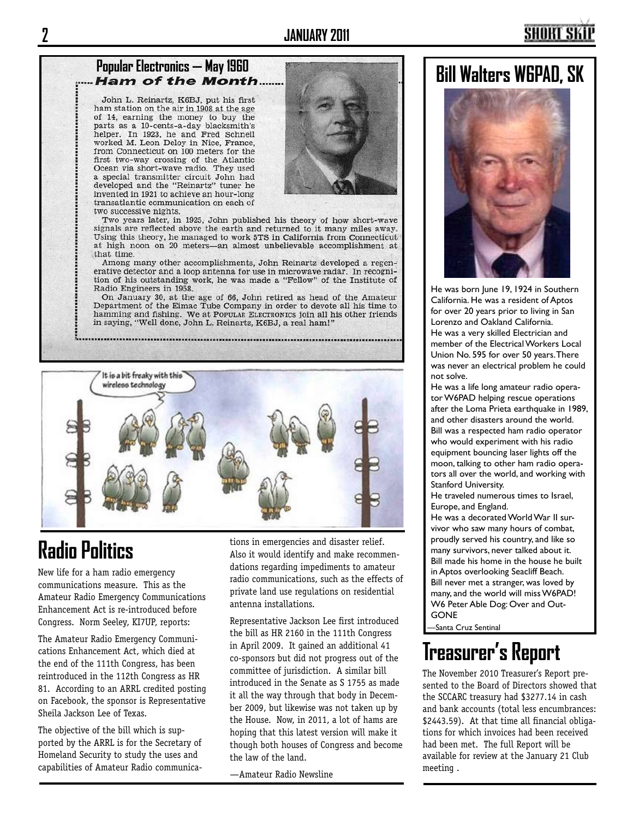## **Popular Electronics — May 1960<br>***...... Ham of the Month***......**

John L. Reinartz, K6BJ, put his first ham station on the air in 1908 at the age of 14, earning the money to buy the parts as a 10-cents-a-day blacksmith's<br>helper. In 1923, he and Fred Schnell worked M. Leon Deloy in Nice, France, from Connecticut on 100 meters for the first two-way crossing of the Atlantic Ocean via short-wave radio. They used a special transmitter circuit John had developed and the "Reinartz" tuner he invented in 1921 to achieve an hour-long transatlantic communication on each of two successive nights.



Two years later, in 1925, John published his theory of how short-wave signals are reflected above the earth and returned to it many miles away. Using this theory, he managed to work 5TS in California from Connecticut at high noon on 20 meters--- an almost unbelievable accomplishment at that time.

Among many other accomplishments, John Reinartz developed a regenerative detector and a loop antenna for use in microwave radar. In recognition of his outstanding work, he was made a "Fellow" of the Institute of Radio Engineers in 1958.

On January 30, at the age of 66, John retired as head of the Amateur Department of the Eimac Tube Company in order to devote all his time to hamming and fishing. We at POPULAR ELECTRONICS join all his other friends in saying, "Well done, John L. Reinartz, K6BJ, a real ham!"



### **Radio Politics**

New life for a ham radio emergency communications measure. This as the Amateur Radio Emergency Communications Enhancement Act is re-introduced before Congress. Norm Seeley, KI7UP, reports:

The Amateur Radio Emergency Communications Enhancement Act, which died at the end of the 111th Congress, has been reintroduced in the 112th Congress as HR 81. According to an ARRL credited posting on Facebook, the sponsor is Representative Sheila Jackson Lee of Texas.

The objective of the bill which is supported by the ARRL is for the Secretary of Homeland Security to study the uses and capabilities of Amateur Radio communications in emergencies and disaster relief. Also it would identify and make recommendations regarding impediments to amateur radio communications, such as the effects of private land use regulations on residential antenna installations.

Representative Jackson Lee first introduced the bill as HR 2160 in the 111th Congress in April 2009. It gained an additional 41 co-sponsors but did not progress out of the committee of jurisdiction. A similar bill introduced in the Senate as S 1755 as made it all the way through that body in December 2009, but likewise was not taken up by the House. Now, in 2011, a lot of hams are hoping that this latest version will make it though both houses of Congress and become the law of the land.

—Amateur Radio Newsline

#### **Bill Walters W6PAD, SK**



He was born June 19, 1924 in Southern California. He was a resident of Aptos for over 20 years prior to living in San Lorenzo and Oakland California. He was a very skilled Electrician and member of the Electrical Workers Local Union No. 595 for over 50 years. There was never an electrical problem he could not solve.

He was a life long amateur radio operator W6PAD helping rescue operations after the Loma Prieta earthquake in 1989, and other disasters around the world. Bill was a respected ham radio operator who would experiment with his radio equipment bouncing laser lights off the moon, talking to other ham radio operators all over the world, and working with Stanford University.

He traveled numerous times to Israel, Europe, and England.

He was a decorated World War II survivor who saw many hours of combat, proudly served his country, and like so many survivors, never talked about it. Bill made his home in the house he built in Aptos overlooking Seacliff Beach. Bill never met a stranger, was loved by many, and the world will miss W6PAD! W6 Peter Able Dog: Over and Out-GONE

—Santa Cruz Sentinal

### **Treasurer's Report**

The November 2010 Treasurer's Report presented to the Board of Directors showed that the SCCARC treasury had \$3277.14 in cash and bank accounts (total less encumbrances: \$2443.59). At that time all financial obligations for which invoices had been received had been met. The full Report will be available for review at the January 21 Club meeting .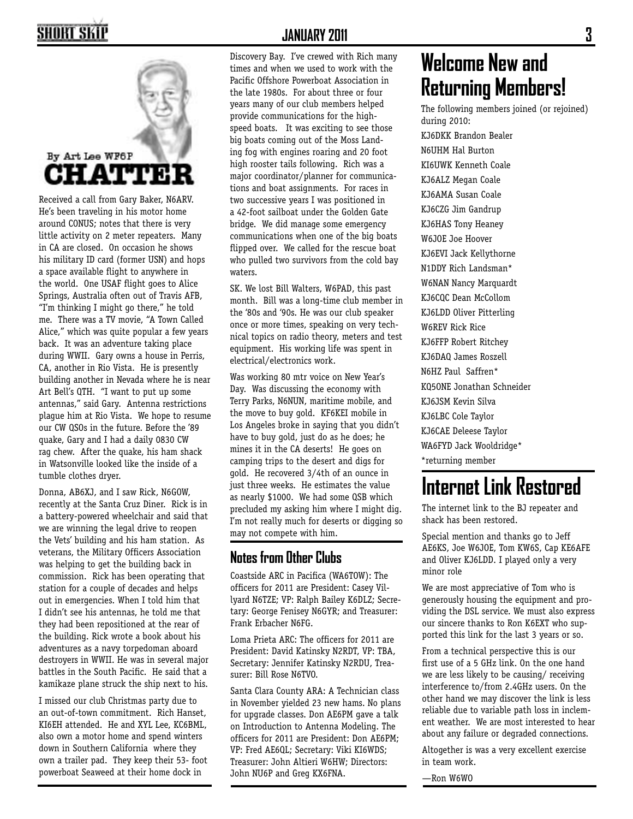### SHORT SKI



Received a call from Gary Baker, N6ARV. He's been traveling in his motor home around CONUS; notes that there is very little activity on 2 meter repeaters. Many in CA are closed. On occasion he shows his military ID card (former USN) and hops a space available flight to anywhere in the world. One USAF flight goes to Alice Springs, Australia often out of Travis AFB, "I'm thinking I might go there," he told me. There was a TV movie, "A Town Called Alice," which was quite popular a few years back. It was an adventure taking place during WWII. Gary owns a house in Perris, CA, another in Rio Vista. He is presently building another in Nevada where he is near Art Bell's QTH. "I want to put up some antennas," said Gary. Antenna restrictions plague him at Rio Vista. We hope to resume our CW QSOs in the future. Before the '89 quake, Gary and I had a daily 0830 CW rag chew. After the quake, his ham shack in Watsonville looked like the inside of a tumble clothes dryer.

Donna, AB6XJ, and I saw Rick, N6GOW, recently at the Santa Cruz Diner. Rick is in a battery-powered wheelchair and said that we are winning the legal drive to reopen the Vets' building and his ham station. As veterans, the Military Officers Association was helping to get the building back in commission. Rick has been operating that station for a couple of decades and helps out in emergencies. When I told him that I didn't see his antennas, he told me that they had been repositioned at the rear of the building. Rick wrote a book about his adventures as a navy torpedoman aboard destroyers in WWII. He was in several major battles in the South Pacific. He said that a kamikaze plane struck the ship next to his.

I missed our club Christmas party due to an out-of-town commitment. Rich Hanset, KI6EH attended. He and XYL Lee, KC6BML, also own a motor home and spend winters down in Southern California where they own a trailer pad. They keep their 53- foot powerboat Seaweed at their home dock in

Discovery Bay. I've crewed with Rich many times and when we used to work with the Pacific Offshore Powerboat Association in the late 1980s. For about three or four years many of our club members helped provide communications for the highspeed boats. It was exciting to see those big boats coming out of the Moss Landing fog with engines roaring and 20 foot high rooster tails following. Rich was a major coordinator/planner for communications and boat assignments. For races in two successive years I was positioned in a 42-foot sailboat under the Golden Gate bridge. We did manage some emergency communications when one of the big boats flipped over. We called for the rescue boat who pulled two survivors from the cold bay waters.

SK. We lost Bill Walters, W6PAD, this past month. Bill was a long-time club member in the '80s and '90s. He was our club speaker once or more times, speaking on very technical topics on radio theory, meters and test equipment. His working life was spent in electrical/electronics work.

Was working 80 mtr voice on New Year's Day. Was discussing the economy with Terry Parks, N6NUN, maritime mobile, and the move to buy gold. KF6KEI mobile in Los Angeles broke in saying that you didn't have to buy gold, just do as he does; he mines it in the CA deserts! He goes on camping trips to the desert and digs for gold. He recovered 3/4th of an ounce in just three weeks. He estimates the value as nearly \$1000. We had some QSB which precluded my asking him where I might dig. I'm not really much for deserts or digging so may not compete with him.

#### **Notes from Other Clubs**

Coastside ARC in Pacifica (WA6TOW): The officers for 2011 are President: Casey Villyard N6TZE; VP: Ralph Bailey K6DLZ; Secretary: George Fenisey N6GYR; and Treasurer: Frank Erbacher N6FG.

Loma Prieta ARC: The officers for 2011 are President: David Katinsky N2RDT, VP: TBA, Secretary: Jennifer Katinsky N2RDU, Treasurer: Bill Rose N6TVO.

Santa Clara County ARA: A Technician class in November yielded 23 new hams. No plans for upgrade classes. Don AE6PM gave a talk on Introduction to Antenna Modeling. The officers for 2011 are President: Don AE6PM; VP: Fred AE6QL; Secretary: Viki KI6WDS; Treasurer: John Altieri W6HW; Directors: John NU6P and Greg KX6FNA.

### **Welcome New and Returning Members!**

The following members joined (or rejoined) during 2010:

KJ6DKK Brandon Bealer N6UHM Hal Burton KI6UWK Kenneth Coale KJ6ALZ Megan Coale KJ6AMA Susan Coale KJ6CZG Jim Gandrup KJ6HAS Tony Heaney W6JOE Joe Hoover KJ6EVI Jack Kellythorne N1DDY Rich Landsman\* W6NAN Nancy Marquardt KJ6CQC Dean McCollom KJ6LDD Oliver Pitterling W6REV Rick Rice KJ6FFP Robert Ritchey KJ6DAQ James Roszell N6HZ Paul Saffren\* KQ5ONE Jonathan Schneider KJ6JSM Kevin Silva KJ6LBC Cole Taylor KJ6CAE Deleese Taylor WA6FYD Jack Wooldridge\* \*returning member

## **Internet Link Restored**

The internet link to the BJ repeater and shack has been restored.

Special mention and thanks go to Jeff AE6KS, Joe W6JOE, Tom KW6S, Cap KE6AFE and Oliver KJ6LDD. I played only a very minor role

We are most appreciative of Tom who is generously housing the equipment and providing the DSL service. We must also express our sincere thanks to Ron K6EXT who supported this link for the last 3 years or so.

From a technical perspective this is our first use of a 5 GHz link. On the one hand we are less likely to be causing/ receiving interference to/from 2.4GHz users. On the other hand we may discover the link is less reliable due to variable path loss in inclement weather. We are most interested to hear about any failure or degraded connections.

Altogether is was a very excellent exercise in team work.

—Ron W6WO